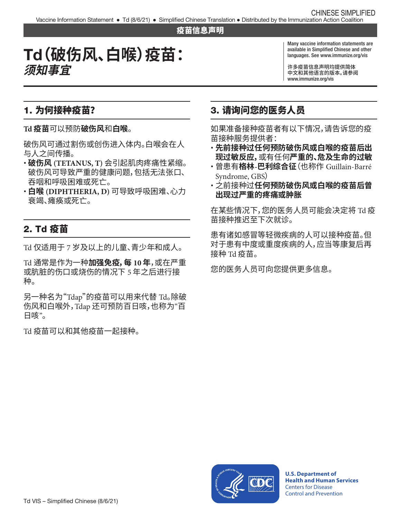#### 疫苗信息声明

# Td**(破伤风、白喉)疫苗: 须知事宜**

Many vaccine information statements are available in Simplified Chinese and other languages. See [www.immunize.org/vis](http://www.immunize.org/vis)

许多疫苗信息声明均提供简体 中文和其他语言的版本。请参阅 [www.immunize.org/vis](http://www.immunize.org/vis)

## 1. 为何接种疫苗?

**Td 疫苗**可以预防**破伤风**和**白喉**。

破伤风可通过割伤或创伤进入体内。白喉会在人 与人之间传播。

- � **破伤风 (TETANUS, T)** 会引起肌肉疼痛性紧缩。 破伤风可导致严重的健康问题,包括无法张口、 吞咽和呼吸困难或死亡。
- � **白喉 (DIPHTHERIA, D)** 可导致呼吸困难、心力 衰竭、瘫痪或死亡。

# 2. Td 疫苗

Td 仅适用于 7 岁及以上的儿童、青少年和成人。

Td 通常是作为一种**加强免疫,每 10 年**,或在严重 或肮脏的伤口或烧伤的情况下 5 年之后进行接 种。

另一种名为"Tdap"的疫苗可以用来代替 Td。除破 伤风和白喉外,Tdap 还可预防百日咳,也称为"百 日咳"。

Td 疫苗可以和其他疫苗一起接种。

# 3. 请询问您的医务人员

如果准备接种疫苗者有以下情况,请告诉您的疫 苗接种服务提供者:

- � **先前接种过任何预防破伤风或白喉的疫苗后出 现过敏反应,**或有任何**严重的、危及生命的过敏**
- � 曾患有**格林-巴利综合征**(也称作 Guillain-Barré Syndrome, GBS)
- 之前接种过**任何预防破伤风或白喉的疫苗后曾 出现过严重的疼痛或肿胀**

在某些情况下,您的医务人员可能会决定将 Td 疫 苗接种推迟至下次就诊。

患有诸如感冒等轻微疾病的人可以接种疫苗。但 对于患有中度或重度疾病的人,应当等康复后再 接种 Td 疫苗。

您的医务人员可向您提供更多信息。



**U.S. Department of Health and Human Services**  Centers for Disease Control and Prevention